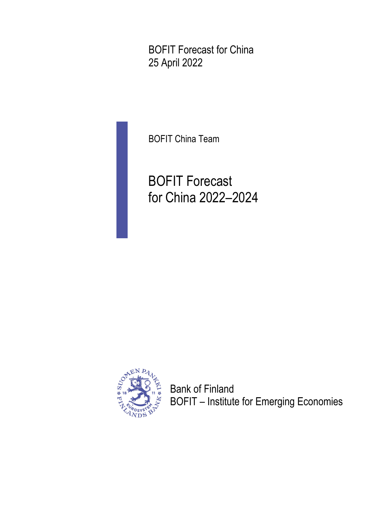BOFIT Forecast for China 25 April 2022

BOFIT China Team

BOFIT Forecast for China 2022–2024



Bank of Finland BOFIT – Institute for Emerging Economies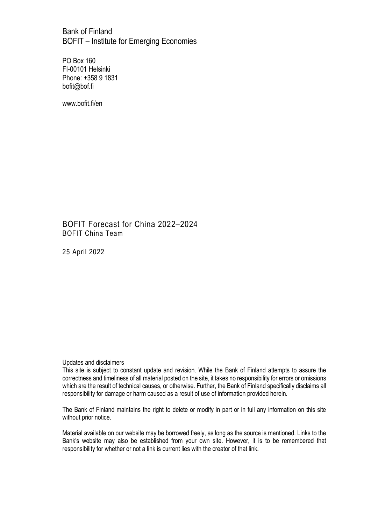Bank of Finland BOFIT – Institute for Emerging Economies

PO Box 160 FI-00101 Helsinki Phone: +358 9 1831 bofit@bof.fi

www.bofit.fi/en

BOFIT Forecast for China 2022–2024 BOFIT China Team

25 April 2022

#### Updates and disclaimers

This site is subject to constant update and revision. While the Bank of Finland attempts to assure the correctness and timeliness of all material posted on the site, it takes no responsibility for errors or omissions which are the result of technical causes, or otherwise. Further, the Bank of Finland specifically disclaims all responsibility for damage or harm caused as a result of use of information provided herein.

The Bank of Finland maintains the right to delete or modify in part or in full any information on this site without prior notice.

Material available on our website may be borrowed freely, as long as the source is mentioned. Links to the Bank's website may also be established from your own site. However, it is to be remembered that responsibility for whether or not a link is current lies with the creator of that link.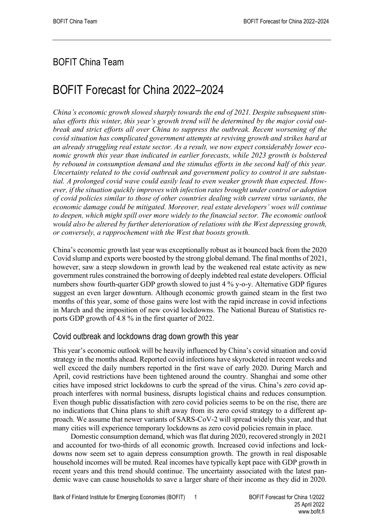## BOFIT China Team

# BOFIT Forecast for China 2022–2024

*China's economic growth slowed sharply towards the end of 2021. Despite subsequent stimulus efforts this winter, this year's growth trend will be determined by the major covid outbreak and strict efforts all over China to suppress the outbreak. Recent worsening of the covid situation has complicated government attempts at reviving growth and strikes hard at an already struggling real estate sector. As a result, we now expect considerably lower economic growth this year than indicated in earlier forecasts, while 2023 growth is bolstered by rebound in consumption demand and the stimulus efforts in the second half of this year. Uncertainty related to the covid outbreak and government policy to control it are substantial. A prolonged covid wave could easily lead to even weaker growth than expected. However, if the situation quickly improves with infection rates brought under control or adoption of covid policies similar to those of other countries dealing with current virus variants, the economic damage could be mitigated. Moreover, real estate developers' woes will continue to deepen, which might spill over more widely to the financial sector. The economic outlook*  would also be altered by further deterioration of relations with the West depressing growth, *or conversely, a rapprochement with the West that boosts growth.*

China's economic growth last year was exceptionally robust as it bounced back from the 2020 Covid slump and exports were boosted by the strong global demand. The final months of 2021, however, saw a steep slowdown in growth lead by the weakened real estate activity as new government rules constrained the borrowing of deeply indebted real estate developers. Official numbers show fourth-quarter GDP growth slowed to just 4 % y-o-y. Alternative GDP figures suggest an even larger downturn. Although economic growth gained steam in the first two months of this year, some of those gains were lost with the rapid increase in covid infections in March and the imposition of new covid lockdowns. The National Bureau of Statistics reports GDP growth of 4.8 % in the first quarter of 2022.

#### Covid outbreak and lockdowns drag down growth this year

This year's economic outlook will be heavily influenced by China's covid situation and covid strategy in the months ahead. Reported covid infections have skyrocketed in recent weeks and well exceed the daily numbers reported in the first wave of early 2020. During March and April, covid restrictions have been tightened around the country. Shanghai and some other cities have imposed strict lockdowns to curb the spread of the virus. China's zero covid approach interferes with normal business, disrupts logistical chains and reduces consumption. Even though public dissatisfaction with zero covid policies seems to be on the rise, there are no indications that China plans to shift away from its zero covid strategy to a different approach. We assume that newer variants of SARS-CoV-2 will spread widely this year, and that many cities will experience temporary lockdowns as zero covid policies remain in place.

Domestic consumption demand, which was flat during 2020, recovered strongly in 2021 and accounted for two-thirds of all economic growth. Increased covid infections and lockdowns now seem set to again depress consumption growth. The growth in real disposable household incomes will be muted. Real incomes have typically kept pace with GDP growth in recent years and this trend should continue. The uncertainty associated with the latest pandemic wave can cause households to save a larger share of their income as they did in 2020.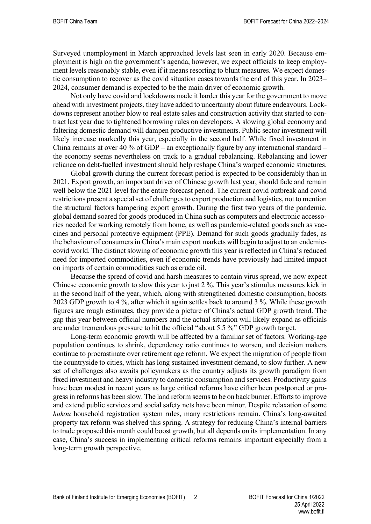Surveyed unemployment in March approached levels last seen in early 2020. Because employment is high on the government's agenda, however, we expect officials to keep employment levels reasonably stable, even if it means resorting to blunt measures. We expect domestic consumption to recover as the covid situation eases towards the end of this year. In 2023– 2024, consumer demand is expected to be the main driver of economic growth.

Not only have covid and lockdowns made it harder this year for the government to move ahead with investment projects, they have added to uncertainty about future endeavours. Lockdowns represent another blow to real estate sales and construction activity that started to contract last year due to tightened borrowing rules on developers. A slowing global economy and faltering domestic demand will dampen productive investments. Public sector investment will likely increase markedly this year, especially in the second half. While fixed investment in China remains at over 40 % of GDP – an exceptionally figure by any international standard – the economy seems nevertheless on track to a gradual rebalancing. Rebalancing and lower reliance on debt-fuelled investment should help reshape China's warped economic structures.

Global growth during the current forecast period is expected to be considerably than in 2021. Export growth, an important driver of Chinese growth last year, should fade and remain well below the 2021 level for the entire forecast period. The current covid outbreak and covid restrictions present a special set of challenges to export production and logistics, not to mention the structural factors hampering export growth. During the first two years of the pandemic, global demand soared for goods produced in China such as computers and electronic accessories needed for working remotely from home, as well as pandemic-related goods such as vaccines and personal protective equipment (PPE). Demand for such goods gradually fades, as the behaviour of consumers in China's main export markets will begin to adjust to an endemiccovid world. The distinct slowing of economic growth this year is reflected in China's reduced need for imported commodities, even if economic trends have previously had limited impact on imports of certain commodities such as crude oil.

Because the spread of covid and harsh measures to contain virus spread, we now expect Chinese economic growth to slow this year to just 2 %. This year's stimulus measures kick in in the second half of the year, which, along with strengthened domestic consumption, boosts 2023 GDP growth to 4 %, after which it again settles back to around 3 %. While these growth figures are rough estimates, they provide a picture of China's actual GDP growth trend. The gap this year between official numbers and the actual situation will likely expand as officials are under tremendous pressure to hit the official "about 5.5 %" GDP growth target.

Long-term economic growth will be affected by a familiar set of factors. Working-age population continues to shrink, dependency ratio continues to worsen, and decision makers continue to procrastinate over retirement age reform. We expect the migration of people from the countryside to cities, which has long sustained investment demand, to slow further. A new set of challenges also awaits policymakers as the country adjusts its growth paradigm from fixed investment and heavy industry to domestic consumption and services. Productivity gains have been modest in recent years as large critical reforms have either been postponed or progress in reforms has been slow. The land reform seems to be on back burner. Efforts to improve and extend public services and social safety nets have been minor. Despite relaxation of some *hukou* household registration system rules, many restrictions remain. China's long-awaited property tax reform was shelved this spring. A strategy for reducing China's internal barriers to trade proposed this month could boost growth, but all depends on its implementation. In any case, China's success in implementing critical reforms remains important especially from a long-term growth perspective.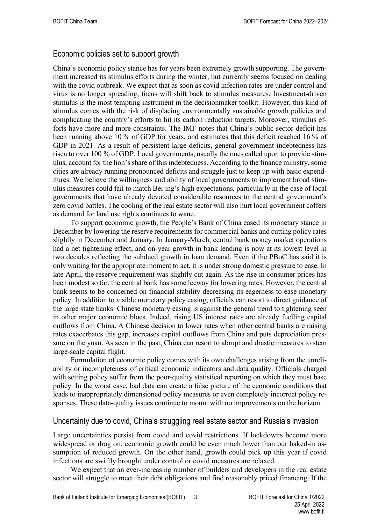### Economic policies set to support growth

China's economic policy stance has for years been extremely growth supporting. The government increased its stimulus efforts during the winter, but currently seems focused on dealing with the covid outbreak. We expect that as soon as covid infection rates are under control and virus is no longer spreading, focus will shift back to stimulus measures. Investment-driven stimulus is the most tempting instrument in the decisionmaker toolkit. However, this kind of stimulus comes with the risk of displacing environmentally sustainable growth policies and complicating the country's efforts to hit its carbon reduction targets. Moreover, stimulus efforts have more and more constraints. The IMF notes that China's public sector deficit has been running above 10 % of GDP for years, and estimates that this deficit reached 16 % of GDP in 2021. As a result of persistent large deficits, general government indebtedness has risen to over 100 % of GDP. Local governments, usually the ones called upon to provide stimulus, account for the lion's share of this indebtedness. According to the finance ministry, some cities are already running pronounced deficits and struggle just to keep up with basic expenditures. We believe the willingness and ability of local governments to implement broad stimulus measures could fail to match Beijing's high expectations, particularly in the case of local governments that have already devoted considerable resources to the central government's zero covid battles. The cooling of the real estate sector will also hurt local government coffers as demand for land use rights continues to wane.

To support economic growth, the People's Bank of China eased its monetary stance in December by lowering the reserve requirements for commercial banks and cutting policy rates slightly in December and January. In January-March, central bank money market operations had a net tightening effect, and on-year growth in bank lending is now at its lowest level in two decades reflecting the subdued growth in loan demand. Even if the PBoC has said it is only waiting for the appropriate moment to act, it is under strong domestic pressure to ease. In late April, the reserve requirement was slightly cut again. As the rise in consumer prices has been modest so far, the central bank has some leeway for lowering rates. However, the central bank seems to be concerned on financial stability decreasing its eagerness to ease monetary policy. In addition to visible monetary policy easing, officials can resort to direct guidance of the large state banks. Chinese monetary easing is against the general trend to tightening seen in other major economic blocs. Indeed, rising US interest rates are already fuelling capital outflows from China. A Chinese decision to lower rates when other central banks are raising rates exacerbates this gap, increases capital outflows from China and puts depreciation pressure on the yuan. As seen in the past, China can resort to abrupt and drastic measures to stem large-scale capital flight.

Formulation of economic policy comes with its own challenges arising from the unreliability or incompleteness of critical economic indicators and data quality. Officials charged with setting policy suffer from the poor-quality statistical reporting on which they must base policy. In the worst case, bad data can create a false picture of the economic conditions that leads to inappropriately dimensioned policy measures or even completely incorrect policy responses. These data-quality issues continue to mount with no improvements on the horizon.

#### Uncertainty due to covid, China's struggling real estate sector and Russia's invasion

Large uncertainties persist from covid and covid restrictions. If lockdowns become more widespread or drag on, economic growth could be even much lower than our baked-in assumption of reduced growth. On the other hand, growth could pick up this year if covid infections are swiftly brought under control or covid measures are relaxed.

We expect that an ever-increasing number of builders and developers in the real estate sector will struggle to meet their debt obligations and find reasonably priced financing. If the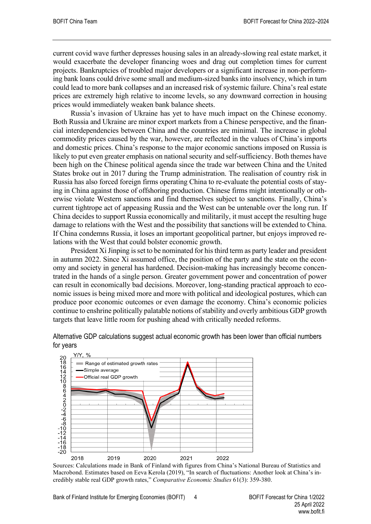current covid wave further depresses housing sales in an already-slowing real estate market, it would exacerbate the developer financing woes and drag out completion times for current projects. Bankruptcies of troubled major developers or a significant increase in non-performing bank loans could drive some small and medium-sized banks into insolvency, which in turn could lead to more bank collapses and an increased risk of systemic failure. China's real estate prices are extremely high relative to income levels, so any downward correction in housing prices would immediately weaken bank balance sheets.

Russia's invasion of Ukraine has yet to have much impact on the Chinese economy. Both Russia and Ukraine are minor export markets from a Chinese perspective, and the financial interdependencies between China and the countries are minimal. The increase in global commodity prices caused by the war, however, are reflected in the values of China's imports and domestic prices. China's response to the major economic sanctions imposed on Russia is likely to put even greater emphasis on national security and self-sufficiency. Both themes have been high on the Chinese political agenda since the trade war between China and the United States broke out in 2017 during the Trump administration. The realisation of country risk in Russia has also forced foreign firms operating China to re-evaluate the potential costs of staying in China against those of offshoring production. Chinese firms might intentionally or otherwise violate Western sanctions and find themselves subject to sanctions. Finally, China's current tightrope act of appeasing Russia and the West can be untenable over the long run. If China decides to support Russia economically and militarily, it must accept the resulting huge damage to relations with the West and the possibility that sanctions will be extended to China. If China condemns Russia, it loses an important geopolitical partner, but enjoys improved relations with the West that could bolster economic growth.

President Xi Jinping is set to be nominated for his third term as party leader and president in autumn 2022. Since Xi assumed office, the position of the party and the state on the economy and society in general has hardened. Decision-making has increasingly become concentrated in the hands of a single person. Greater government power and concentration of power can result in economically bad decisions. Moreover, long-standing practical approach to economic issues is being mixed more and more with political and ideological postures, which can produce poor economic outcomes or even damage the economy. China's economic policies continue to enshrine politically palatable notions of stability and overly ambitious GDP growth targets that leave little room for pushing ahead with critically needed reforms.



Alternative GDP calculations suggest actual economic growth has been lower than official numbers for years

Sources: Calculations made in Bank of Finland with figures from China's National Bureau of Statistics and Macrobond. Estimates based on Eeva Kerola (2019), "In search of fluctuations: Another look at China's incredibly stable real GDP growth rates," *Comparative Economic Studies* 61(3): 359-380.

Bank of Finland Institute for Emerging Economies (BOFIT) 4 BOFIT Forecast for China 1/2022